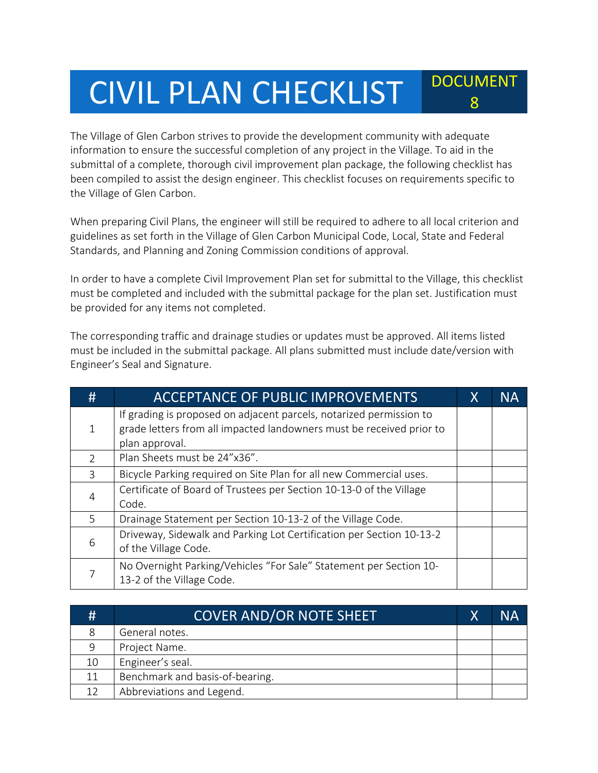## CIVIL PLAN CHECKLIST POCUMENT

The Village of Glen Carbon strives to provide the development community with adequate information to ensure the successful completion of any project in the Village. To aid in the submittal of a complete, thorough civil improvement plan package, the following checklist has been compiled to assist the design engineer. This checklist focuses on requirements specific to the Village of Glen Carbon.

8

When preparing Civil Plans, the engineer will still be required to adhere to all local criterion and guidelines as set forth in the Village of Glen Carbon Municipal Code, Local, State and Federal Standards, and Planning and Zoning Commission conditions of approval.

In order to have a complete Civil Improvement Plan set for submittal to the Village, this checklist must be completed and included with the submittal package for the plan set. Justification must be provided for any items not completed.

The corresponding traffic and drainage studies or updates must be approved. All items listed must be included in the submittal package. All plans submitted must include date/version with Engineer's Seal and Signature.

| #             | <b>ACCEPTANCE OF PUBLIC IMPROVEMENTS</b>                                                                                                    | X | NΑ |
|---------------|---------------------------------------------------------------------------------------------------------------------------------------------|---|----|
| 1             | If grading is proposed on adjacent parcels, notarized permission to<br>grade letters from all impacted landowners must be received prior to |   |    |
|               | plan approval.                                                                                                                              |   |    |
| $\mathcal{P}$ | Plan Sheets must be 24"x36".                                                                                                                |   |    |
| 3             | Bicycle Parking required on Site Plan for all new Commercial uses.                                                                          |   |    |
| 4             | Certificate of Board of Trustees per Section 10-13-0 of the Village                                                                         |   |    |
|               | Code.                                                                                                                                       |   |    |
| 5             | Drainage Statement per Section 10-13-2 of the Village Code.                                                                                 |   |    |
|               | Driveway, Sidewalk and Parking Lot Certification per Section 10-13-2                                                                        |   |    |
| 6             | of the Village Code.                                                                                                                        |   |    |
|               | No Overnight Parking/Vehicles "For Sale" Statement per Section 10-<br>13-2 of the Village Code.                                             |   |    |

| #  | <b>COVER AND/OR NOTE SHEET</b>  | Χ | NΑ |
|----|---------------------------------|---|----|
| 8  | General notes.                  |   |    |
| 9  | Project Name.                   |   |    |
| 10 | Engineer's seal.                |   |    |
| 11 | Benchmark and basis-of-bearing. |   |    |
| 12 | Abbreviations and Legend.       |   |    |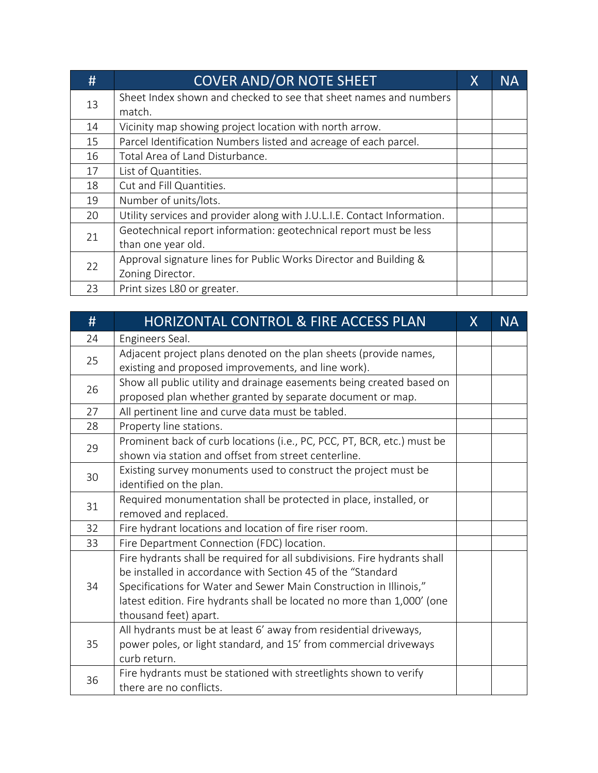| #  | <b>COVER AND/OR NOTE SHEET</b>                                           | Χ | <b>NA</b> |
|----|--------------------------------------------------------------------------|---|-----------|
| 13 | Sheet Index shown and checked to see that sheet names and numbers        |   |           |
|    | match.                                                                   |   |           |
| 14 | Vicinity map showing project location with north arrow.                  |   |           |
| 15 | Parcel Identification Numbers listed and acreage of each parcel.         |   |           |
| 16 | Total Area of Land Disturbance.                                          |   |           |
| 17 | List of Quantities.                                                      |   |           |
| 18 | Cut and Fill Quantities.                                                 |   |           |
| 19 | Number of units/lots.                                                    |   |           |
| 20 | Utility services and provider along with J.U.L.I.E. Contact Information. |   |           |
| 21 | Geotechnical report information: geotechnical report must be less        |   |           |
|    | than one year old.                                                       |   |           |
| 22 | Approval signature lines for Public Works Director and Building &        |   |           |
|    | Zoning Director.                                                         |   |           |
| 23 | Print sizes L80 or greater.                                              |   |           |

| #  | HORIZONTAL CONTROL & FIRE ACCESS PLAN                                                                                                                                                                                                                                                                              | X | <b>NA</b> |
|----|--------------------------------------------------------------------------------------------------------------------------------------------------------------------------------------------------------------------------------------------------------------------------------------------------------------------|---|-----------|
| 24 | Engineers Seal.                                                                                                                                                                                                                                                                                                    |   |           |
| 25 | Adjacent project plans denoted on the plan sheets (provide names,<br>existing and proposed improvements, and line work).                                                                                                                                                                                           |   |           |
| 26 | Show all public utility and drainage easements being created based on<br>proposed plan whether granted by separate document or map.                                                                                                                                                                                |   |           |
| 27 | All pertinent line and curve data must be tabled.                                                                                                                                                                                                                                                                  |   |           |
| 28 | Property line stations.                                                                                                                                                                                                                                                                                            |   |           |
| 29 | Prominent back of curb locations (i.e., PC, PCC, PT, BCR, etc.) must be<br>shown via station and offset from street centerline.                                                                                                                                                                                    |   |           |
| 30 | Existing survey monuments used to construct the project must be<br>identified on the plan.                                                                                                                                                                                                                         |   |           |
| 31 | Required monumentation shall be protected in place, installed, or<br>removed and replaced.                                                                                                                                                                                                                         |   |           |
| 32 | Fire hydrant locations and location of fire riser room.                                                                                                                                                                                                                                                            |   |           |
| 33 | Fire Department Connection (FDC) location.                                                                                                                                                                                                                                                                         |   |           |
| 34 | Fire hydrants shall be required for all subdivisions. Fire hydrants shall<br>be installed in accordance with Section 45 of the "Standard<br>Specifications for Water and Sewer Main Construction in Illinois,"<br>latest edition. Fire hydrants shall be located no more than 1,000' (one<br>thousand feet) apart. |   |           |
| 35 | All hydrants must be at least 6' away from residential driveways,<br>power poles, or light standard, and 15' from commercial driveways<br>curb return.                                                                                                                                                             |   |           |
| 36 | Fire hydrants must be stationed with streetlights shown to verify<br>there are no conflicts.                                                                                                                                                                                                                       |   |           |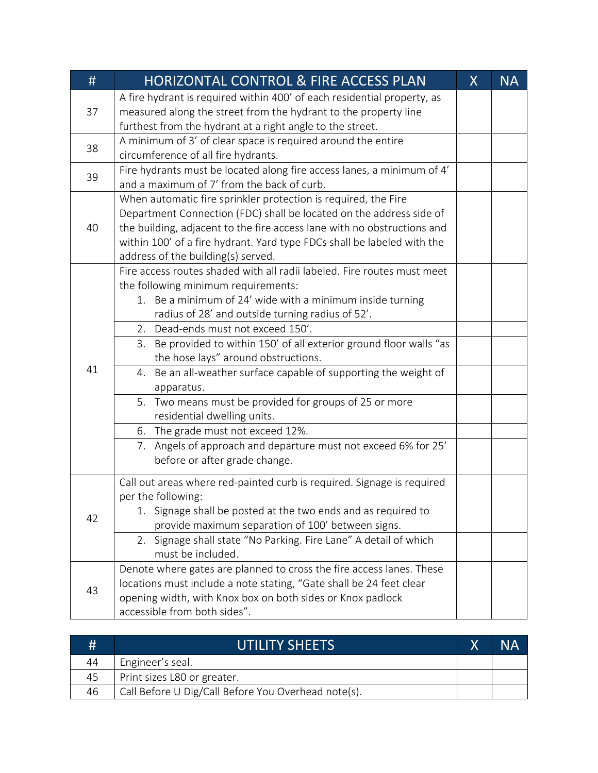| #  | HORIZONTAL CONTROL & FIRE ACCESS PLAN                                                                         | X | <b>NA</b> |
|----|---------------------------------------------------------------------------------------------------------------|---|-----------|
|    | A fire hydrant is required within 400' of each residential property, as                                       |   |           |
| 37 | measured along the street from the hydrant to the property line                                               |   |           |
|    | furthest from the hydrant at a right angle to the street.                                                     |   |           |
| 38 | A minimum of 3' of clear space is required around the entire                                                  |   |           |
|    | circumference of all fire hydrants.                                                                           |   |           |
| 39 | Fire hydrants must be located along fire access lanes, a minimum of 4'                                        |   |           |
|    | and a maximum of 7' from the back of curb.                                                                    |   |           |
|    | When automatic fire sprinkler protection is required, the Fire                                                |   |           |
|    | Department Connection (FDC) shall be located on the address side of                                           |   |           |
| 40 | the building, adjacent to the fire access lane with no obstructions and                                       |   |           |
|    | within 100' of a fire hydrant. Yard type FDCs shall be labeled with the                                       |   |           |
|    | address of the building(s) served.<br>Fire access routes shaded with all radii labeled. Fire routes must meet |   |           |
|    | the following minimum requirements:                                                                           |   |           |
|    | 1. Be a minimum of 24' wide with a minimum inside turning                                                     |   |           |
|    | radius of 28' and outside turning radius of 52'.                                                              |   |           |
|    | 2. Dead-ends must not exceed 150'.                                                                            |   |           |
|    | Be provided to within 150' of all exterior ground floor walls "as<br>3.                                       |   |           |
|    | the hose lays" around obstructions.                                                                           |   |           |
| 41 | 4. Be an all-weather surface capable of supporting the weight of                                              |   |           |
|    | apparatus.                                                                                                    |   |           |
|    | 5. Two means must be provided for groups of 25 or more                                                        |   |           |
|    | residential dwelling units.                                                                                   |   |           |
|    | 6. The grade must not exceed 12%.                                                                             |   |           |
|    | 7. Angels of approach and departure must not exceed 6% for 25'                                                |   |           |
|    | before or after grade change.                                                                                 |   |           |
|    | Call out areas where red-painted curb is required. Signage is required                                        |   |           |
|    | per the following:                                                                                            |   |           |
|    | 1. Signage shall be posted at the two ends and as required to                                                 |   |           |
| 42 | provide maximum separation of 100' between signs.                                                             |   |           |
|    | Signage shall state "No Parking. Fire Lane" A detail of which<br>2.                                           |   |           |
|    | must be included.                                                                                             |   |           |
|    | Denote where gates are planned to cross the fire access lanes. These                                          |   |           |
| 43 | locations must include a note stating, "Gate shall be 24 feet clear                                           |   |           |
|    | opening width, with Knox box on both sides or Knox padlock                                                    |   |           |
|    | accessible from both sides".                                                                                  |   |           |

| #  | <b>UTILITY SHEETS</b>                               |  |
|----|-----------------------------------------------------|--|
| 44 | Engineer's seal.                                    |  |
| 45 | Print sizes L80 or greater.                         |  |
| 46 | Call Before U Dig/Call Before You Overhead note(s). |  |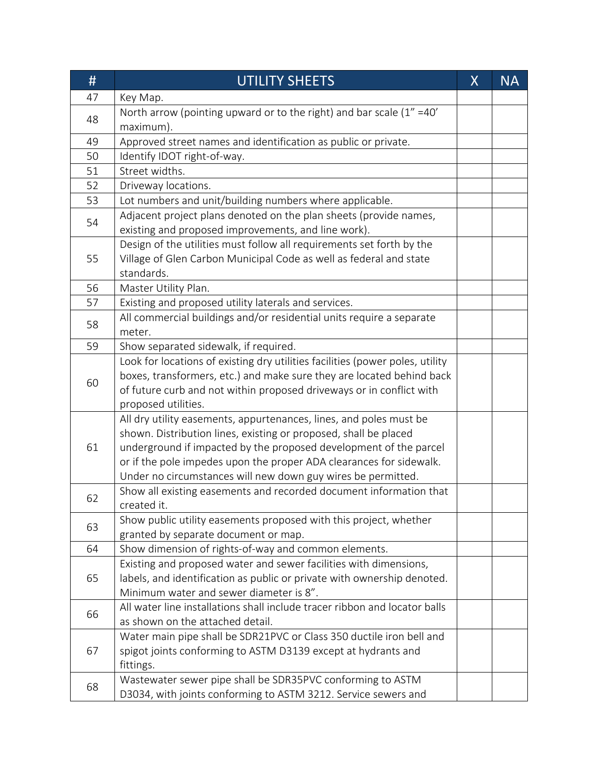| #  | <b>UTILITY SHEETS</b>                                                                                                                         | X | <b>NA</b> |
|----|-----------------------------------------------------------------------------------------------------------------------------------------------|---|-----------|
| 47 | Key Map.                                                                                                                                      |   |           |
| 48 | North arrow (pointing upward or to the right) and bar scale $(1'' = 40')$                                                                     |   |           |
|    | maximum).                                                                                                                                     |   |           |
| 49 | Approved street names and identification as public or private.                                                                                |   |           |
| 50 | Identify IDOT right-of-way.                                                                                                                   |   |           |
| 51 | Street widths.                                                                                                                                |   |           |
| 52 | Driveway locations.                                                                                                                           |   |           |
| 53 | Lot numbers and unit/building numbers where applicable.                                                                                       |   |           |
| 54 | Adjacent project plans denoted on the plan sheets (provide names,                                                                             |   |           |
|    | existing and proposed improvements, and line work).                                                                                           |   |           |
|    | Design of the utilities must follow all requirements set forth by the                                                                         |   |           |
| 55 | Village of Glen Carbon Municipal Code as well as federal and state                                                                            |   |           |
|    | standards.                                                                                                                                    |   |           |
| 56 | Master Utility Plan.                                                                                                                          |   |           |
| 57 | Existing and proposed utility laterals and services.                                                                                          |   |           |
| 58 | All commercial buildings and/or residential units require a separate                                                                          |   |           |
|    | meter.                                                                                                                                        |   |           |
| 59 | Show separated sidewalk, if required.                                                                                                         |   |           |
|    | Look for locations of existing dry utilities facilities (power poles, utility                                                                 |   |           |
| 60 | boxes, transformers, etc.) and make sure they are located behind back<br>of future curb and not within proposed driveways or in conflict with |   |           |
|    | proposed utilities.                                                                                                                           |   |           |
|    | All dry utility easements, appurtenances, lines, and poles must be                                                                            |   |           |
|    | shown. Distribution lines, existing or proposed, shall be placed                                                                              |   |           |
| 61 | underground if impacted by the proposed development of the parcel                                                                             |   |           |
|    | or if the pole impedes upon the proper ADA clearances for sidewalk.                                                                           |   |           |
|    | Under no circumstances will new down guy wires be permitted.                                                                                  |   |           |
|    | Show all existing easements and recorded document information that                                                                            |   |           |
| 62 | created it.                                                                                                                                   |   |           |
|    | Show public utility easements proposed with this project, whether                                                                             |   |           |
| 63 | granted by separate document or map.                                                                                                          |   |           |
| 64 | Show dimension of rights-of-way and common elements.                                                                                          |   |           |
|    | Existing and proposed water and sewer facilities with dimensions,                                                                             |   |           |
| 65 | labels, and identification as public or private with ownership denoted.                                                                       |   |           |
|    | Minimum water and sewer diameter is 8".                                                                                                       |   |           |
| 66 | All water line installations shall include tracer ribbon and locator balls                                                                    |   |           |
|    | as shown on the attached detail.                                                                                                              |   |           |
|    | Water main pipe shall be SDR21PVC or Class 350 ductile iron bell and                                                                          |   |           |
| 67 | spigot joints conforming to ASTM D3139 except at hydrants and                                                                                 |   |           |
|    | fittings.                                                                                                                                     |   |           |
| 68 | Wastewater sewer pipe shall be SDR35PVC conforming to ASTM                                                                                    |   |           |
|    | D3034, with joints conforming to ASTM 3212. Service sewers and                                                                                |   |           |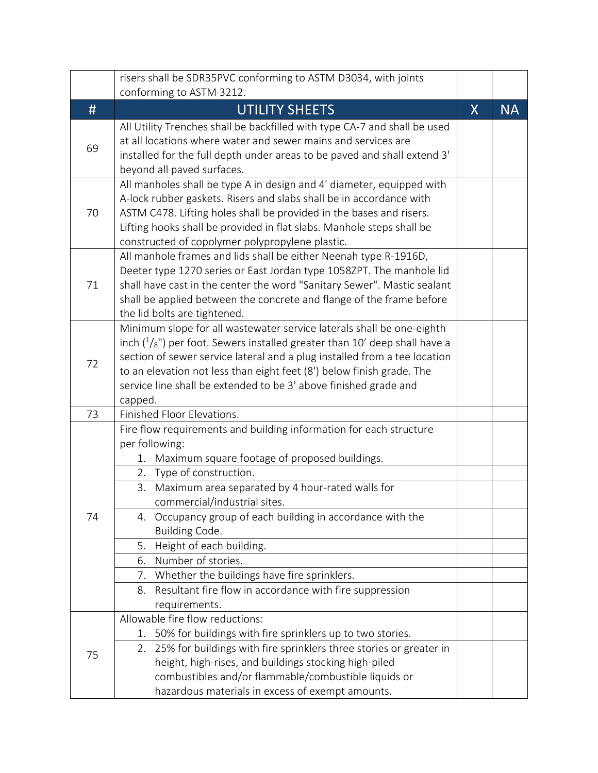| conforming to ASTM 3212.<br>#<br>UTILITY SHEETS<br>$\sf X$<br><b>NA</b><br>All Utility Trenches shall be backfilled with type CA-7 and shall be used<br>at all locations where water and sewer mains and services are<br>69<br>installed for the full depth under areas to be paved and shall extend 3'<br>beyond all paved surfaces.<br>All manholes shall be type A in design and 4' diameter, equipped with<br>A-lock rubber gaskets. Risers and slabs shall be in accordance with<br>ASTM C478. Lifting holes shall be provided in the bases and risers.<br>70<br>Lifting hooks shall be provided in flat slabs. Manhole steps shall be<br>constructed of copolymer polypropylene plastic.<br>All manhole frames and lids shall be either Neenah type R-1916D,<br>Deeter type 1270 series or East Jordan type 1058ZPT. The manhole lid<br>71<br>shall have cast in the center the word "Sanitary Sewer". Mastic sealant<br>shall be applied between the concrete and flange of the frame before<br>the lid bolts are tightened.<br>Minimum slope for all wastewater service laterals shall be one-eighth<br>inch $(^{1}/_{8}$ ") per foot. Sewers installed greater than 10' deep shall have a<br>section of sewer service lateral and a plug installed from a tee location<br>72<br>to an elevation not less than eight feet (8') below finish grade. The<br>service line shall be extended to be 3' above finished grade and<br>capped.<br>Finished Floor Elevations.<br>73<br>Fire flow requirements and building information for each structure<br>per following:<br>Maximum square footage of proposed buildings.<br>1.<br>2. Type of construction.<br>Maximum area separated by 4 hour-rated walls for<br>3.<br>commercial/industrial sites.<br>4. Occupancy group of each building in accordance with the<br>74<br>Building Code.<br>Height of each building.<br>5.<br>Number of stories.<br>6.<br>Whether the buildings have fire sprinklers.<br>7.<br>Resultant fire flow in accordance with fire suppression<br>8.<br>requirements.<br>Allowable fire flow reductions:<br>1. 50% for buildings with fire sprinklers up to two stories.<br>25% for buildings with fire sprinklers three stories or greater in<br>2.<br>75<br>height, high-rises, and buildings stocking high-piled |  | risers shall be SDR35PVC conforming to ASTM D3034, with joints |  |
|-------------------------------------------------------------------------------------------------------------------------------------------------------------------------------------------------------------------------------------------------------------------------------------------------------------------------------------------------------------------------------------------------------------------------------------------------------------------------------------------------------------------------------------------------------------------------------------------------------------------------------------------------------------------------------------------------------------------------------------------------------------------------------------------------------------------------------------------------------------------------------------------------------------------------------------------------------------------------------------------------------------------------------------------------------------------------------------------------------------------------------------------------------------------------------------------------------------------------------------------------------------------------------------------------------------------------------------------------------------------------------------------------------------------------------------------------------------------------------------------------------------------------------------------------------------------------------------------------------------------------------------------------------------------------------------------------------------------------------------------------------------------------------------------------------------------------------------------------------------------------------------------------------------------------------------------------------------------------------------------------------------------------------------------------------------------------------------------------------------------------------------------------------------------------------------------------------------------------------------------------------------------------------------------------|--|----------------------------------------------------------------|--|
|                                                                                                                                                                                                                                                                                                                                                                                                                                                                                                                                                                                                                                                                                                                                                                                                                                                                                                                                                                                                                                                                                                                                                                                                                                                                                                                                                                                                                                                                                                                                                                                                                                                                                                                                                                                                                                                                                                                                                                                                                                                                                                                                                                                                                                                                                                 |  |                                                                |  |
|                                                                                                                                                                                                                                                                                                                                                                                                                                                                                                                                                                                                                                                                                                                                                                                                                                                                                                                                                                                                                                                                                                                                                                                                                                                                                                                                                                                                                                                                                                                                                                                                                                                                                                                                                                                                                                                                                                                                                                                                                                                                                                                                                                                                                                                                                                 |  |                                                                |  |
|                                                                                                                                                                                                                                                                                                                                                                                                                                                                                                                                                                                                                                                                                                                                                                                                                                                                                                                                                                                                                                                                                                                                                                                                                                                                                                                                                                                                                                                                                                                                                                                                                                                                                                                                                                                                                                                                                                                                                                                                                                                                                                                                                                                                                                                                                                 |  |                                                                |  |
|                                                                                                                                                                                                                                                                                                                                                                                                                                                                                                                                                                                                                                                                                                                                                                                                                                                                                                                                                                                                                                                                                                                                                                                                                                                                                                                                                                                                                                                                                                                                                                                                                                                                                                                                                                                                                                                                                                                                                                                                                                                                                                                                                                                                                                                                                                 |  |                                                                |  |
|                                                                                                                                                                                                                                                                                                                                                                                                                                                                                                                                                                                                                                                                                                                                                                                                                                                                                                                                                                                                                                                                                                                                                                                                                                                                                                                                                                                                                                                                                                                                                                                                                                                                                                                                                                                                                                                                                                                                                                                                                                                                                                                                                                                                                                                                                                 |  |                                                                |  |
|                                                                                                                                                                                                                                                                                                                                                                                                                                                                                                                                                                                                                                                                                                                                                                                                                                                                                                                                                                                                                                                                                                                                                                                                                                                                                                                                                                                                                                                                                                                                                                                                                                                                                                                                                                                                                                                                                                                                                                                                                                                                                                                                                                                                                                                                                                 |  |                                                                |  |
|                                                                                                                                                                                                                                                                                                                                                                                                                                                                                                                                                                                                                                                                                                                                                                                                                                                                                                                                                                                                                                                                                                                                                                                                                                                                                                                                                                                                                                                                                                                                                                                                                                                                                                                                                                                                                                                                                                                                                                                                                                                                                                                                                                                                                                                                                                 |  |                                                                |  |
|                                                                                                                                                                                                                                                                                                                                                                                                                                                                                                                                                                                                                                                                                                                                                                                                                                                                                                                                                                                                                                                                                                                                                                                                                                                                                                                                                                                                                                                                                                                                                                                                                                                                                                                                                                                                                                                                                                                                                                                                                                                                                                                                                                                                                                                                                                 |  |                                                                |  |
|                                                                                                                                                                                                                                                                                                                                                                                                                                                                                                                                                                                                                                                                                                                                                                                                                                                                                                                                                                                                                                                                                                                                                                                                                                                                                                                                                                                                                                                                                                                                                                                                                                                                                                                                                                                                                                                                                                                                                                                                                                                                                                                                                                                                                                                                                                 |  |                                                                |  |
|                                                                                                                                                                                                                                                                                                                                                                                                                                                                                                                                                                                                                                                                                                                                                                                                                                                                                                                                                                                                                                                                                                                                                                                                                                                                                                                                                                                                                                                                                                                                                                                                                                                                                                                                                                                                                                                                                                                                                                                                                                                                                                                                                                                                                                                                                                 |  |                                                                |  |
|                                                                                                                                                                                                                                                                                                                                                                                                                                                                                                                                                                                                                                                                                                                                                                                                                                                                                                                                                                                                                                                                                                                                                                                                                                                                                                                                                                                                                                                                                                                                                                                                                                                                                                                                                                                                                                                                                                                                                                                                                                                                                                                                                                                                                                                                                                 |  |                                                                |  |
|                                                                                                                                                                                                                                                                                                                                                                                                                                                                                                                                                                                                                                                                                                                                                                                                                                                                                                                                                                                                                                                                                                                                                                                                                                                                                                                                                                                                                                                                                                                                                                                                                                                                                                                                                                                                                                                                                                                                                                                                                                                                                                                                                                                                                                                                                                 |  |                                                                |  |
|                                                                                                                                                                                                                                                                                                                                                                                                                                                                                                                                                                                                                                                                                                                                                                                                                                                                                                                                                                                                                                                                                                                                                                                                                                                                                                                                                                                                                                                                                                                                                                                                                                                                                                                                                                                                                                                                                                                                                                                                                                                                                                                                                                                                                                                                                                 |  |                                                                |  |
|                                                                                                                                                                                                                                                                                                                                                                                                                                                                                                                                                                                                                                                                                                                                                                                                                                                                                                                                                                                                                                                                                                                                                                                                                                                                                                                                                                                                                                                                                                                                                                                                                                                                                                                                                                                                                                                                                                                                                                                                                                                                                                                                                                                                                                                                                                 |  |                                                                |  |
|                                                                                                                                                                                                                                                                                                                                                                                                                                                                                                                                                                                                                                                                                                                                                                                                                                                                                                                                                                                                                                                                                                                                                                                                                                                                                                                                                                                                                                                                                                                                                                                                                                                                                                                                                                                                                                                                                                                                                                                                                                                                                                                                                                                                                                                                                                 |  |                                                                |  |
|                                                                                                                                                                                                                                                                                                                                                                                                                                                                                                                                                                                                                                                                                                                                                                                                                                                                                                                                                                                                                                                                                                                                                                                                                                                                                                                                                                                                                                                                                                                                                                                                                                                                                                                                                                                                                                                                                                                                                                                                                                                                                                                                                                                                                                                                                                 |  |                                                                |  |
|                                                                                                                                                                                                                                                                                                                                                                                                                                                                                                                                                                                                                                                                                                                                                                                                                                                                                                                                                                                                                                                                                                                                                                                                                                                                                                                                                                                                                                                                                                                                                                                                                                                                                                                                                                                                                                                                                                                                                                                                                                                                                                                                                                                                                                                                                                 |  |                                                                |  |
|                                                                                                                                                                                                                                                                                                                                                                                                                                                                                                                                                                                                                                                                                                                                                                                                                                                                                                                                                                                                                                                                                                                                                                                                                                                                                                                                                                                                                                                                                                                                                                                                                                                                                                                                                                                                                                                                                                                                                                                                                                                                                                                                                                                                                                                                                                 |  |                                                                |  |
|                                                                                                                                                                                                                                                                                                                                                                                                                                                                                                                                                                                                                                                                                                                                                                                                                                                                                                                                                                                                                                                                                                                                                                                                                                                                                                                                                                                                                                                                                                                                                                                                                                                                                                                                                                                                                                                                                                                                                                                                                                                                                                                                                                                                                                                                                                 |  |                                                                |  |
|                                                                                                                                                                                                                                                                                                                                                                                                                                                                                                                                                                                                                                                                                                                                                                                                                                                                                                                                                                                                                                                                                                                                                                                                                                                                                                                                                                                                                                                                                                                                                                                                                                                                                                                                                                                                                                                                                                                                                                                                                                                                                                                                                                                                                                                                                                 |  |                                                                |  |
|                                                                                                                                                                                                                                                                                                                                                                                                                                                                                                                                                                                                                                                                                                                                                                                                                                                                                                                                                                                                                                                                                                                                                                                                                                                                                                                                                                                                                                                                                                                                                                                                                                                                                                                                                                                                                                                                                                                                                                                                                                                                                                                                                                                                                                                                                                 |  |                                                                |  |
|                                                                                                                                                                                                                                                                                                                                                                                                                                                                                                                                                                                                                                                                                                                                                                                                                                                                                                                                                                                                                                                                                                                                                                                                                                                                                                                                                                                                                                                                                                                                                                                                                                                                                                                                                                                                                                                                                                                                                                                                                                                                                                                                                                                                                                                                                                 |  |                                                                |  |
|                                                                                                                                                                                                                                                                                                                                                                                                                                                                                                                                                                                                                                                                                                                                                                                                                                                                                                                                                                                                                                                                                                                                                                                                                                                                                                                                                                                                                                                                                                                                                                                                                                                                                                                                                                                                                                                                                                                                                                                                                                                                                                                                                                                                                                                                                                 |  |                                                                |  |
| hazardous materials in excess of exempt amounts.                                                                                                                                                                                                                                                                                                                                                                                                                                                                                                                                                                                                                                                                                                                                                                                                                                                                                                                                                                                                                                                                                                                                                                                                                                                                                                                                                                                                                                                                                                                                                                                                                                                                                                                                                                                                                                                                                                                                                                                                                                                                                                                                                                                                                                                |  | combustibles and/or flammable/combustible liquids or           |  |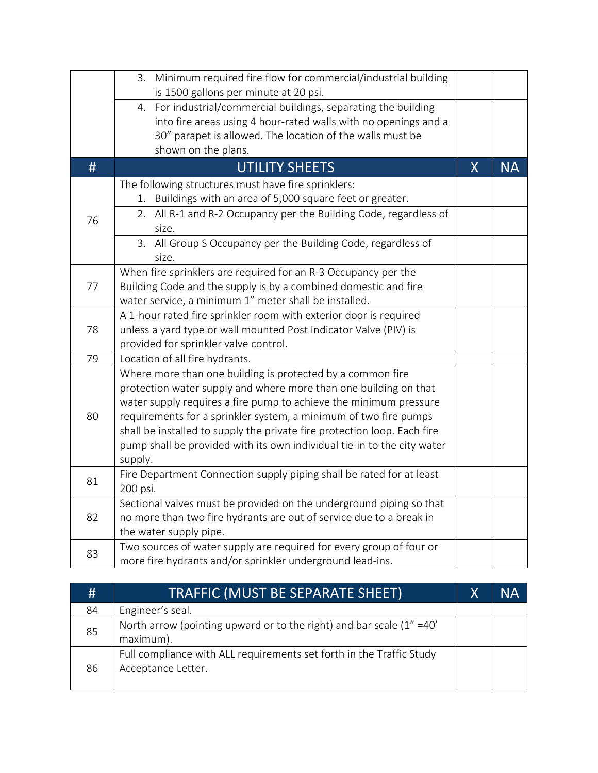|    | 3. Minimum required fire flow for commercial/industrial building<br>is 1500 gallons per minute at 20 psi.                                                                                                                                                                                                                                                                                                                                 |                |           |
|----|-------------------------------------------------------------------------------------------------------------------------------------------------------------------------------------------------------------------------------------------------------------------------------------------------------------------------------------------------------------------------------------------------------------------------------------------|----------------|-----------|
|    | For industrial/commercial buildings, separating the building<br>4.<br>into fire areas using 4 hour-rated walls with no openings and a<br>30" parapet is allowed. The location of the walls must be<br>shown on the plans.                                                                                                                                                                                                                 |                |           |
| #  | <b>UTILITY SHEETS</b>                                                                                                                                                                                                                                                                                                                                                                                                                     | $\overline{X}$ | <b>NA</b> |
| 76 | The following structures must have fire sprinklers:<br>1. Buildings with an area of 5,000 square feet or greater.<br>2. All R-1 and R-2 Occupancy per the Building Code, regardless of<br>size.                                                                                                                                                                                                                                           |                |           |
|    | 3. All Group S Occupancy per the Building Code, regardless of<br>size.                                                                                                                                                                                                                                                                                                                                                                    |                |           |
| 77 | When fire sprinklers are required for an R-3 Occupancy per the<br>Building Code and the supply is by a combined domestic and fire<br>water service, a minimum 1" meter shall be installed.                                                                                                                                                                                                                                                |                |           |
| 78 | A 1-hour rated fire sprinkler room with exterior door is required<br>unless a yard type or wall mounted Post Indicator Valve (PIV) is<br>provided for sprinkler valve control.                                                                                                                                                                                                                                                            |                |           |
| 79 | Location of all fire hydrants.                                                                                                                                                                                                                                                                                                                                                                                                            |                |           |
| 80 | Where more than one building is protected by a common fire<br>protection water supply and where more than one building on that<br>water supply requires a fire pump to achieve the minimum pressure<br>requirements for a sprinkler system, a minimum of two fire pumps<br>shall be installed to supply the private fire protection loop. Each fire<br>pump shall be provided with its own individual tie-in to the city water<br>supply. |                |           |
| 81 | Fire Department Connection supply piping shall be rated for at least<br>200 psi.                                                                                                                                                                                                                                                                                                                                                          |                |           |
| 82 | Sectional valves must be provided on the underground piping so that<br>no more than two fire hydrants are out of service due to a break in<br>the water supply pipe.                                                                                                                                                                                                                                                                      |                |           |
| 83 | Two sources of water supply are required for every group of four or<br>more fire hydrants and/or sprinkler underground lead-ins.                                                                                                                                                                                                                                                                                                          |                |           |

| #  | <b>TRAFFIC (MUST BE SEPARATE SHEET)</b>                                                    | Χ | NΑ |
|----|--------------------------------------------------------------------------------------------|---|----|
| 84 | Engineer's seal.                                                                           |   |    |
| 85 | North arrow (pointing upward or to the right) and bar scale $(1'' = 40'$<br>maximum).      |   |    |
| 86 | Full compliance with ALL requirements set forth in the Traffic Study<br>Acceptance Letter. |   |    |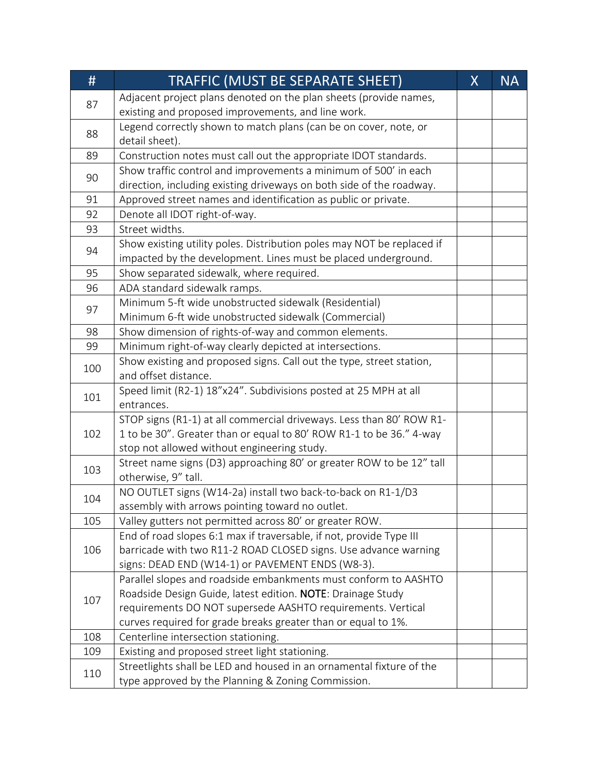| #   | TRAFFIC (MUST BE SEPARATE SHEET)                                       | $\sf X$ | <b>NA</b> |
|-----|------------------------------------------------------------------------|---------|-----------|
| 87  | Adjacent project plans denoted on the plan sheets (provide names,      |         |           |
|     | existing and proposed improvements, and line work.                     |         |           |
| 88  | Legend correctly shown to match plans (can be on cover, note, or       |         |           |
|     | detail sheet).                                                         |         |           |
| 89  | Construction notes must call out the appropriate IDOT standards.       |         |           |
| 90  | Show traffic control and improvements a minimum of 500' in each        |         |           |
|     | direction, including existing driveways on both side of the roadway.   |         |           |
| 91  | Approved street names and identification as public or private.         |         |           |
| 92  | Denote all IDOT right-of-way.                                          |         |           |
| 93  | Street widths.                                                         |         |           |
| 94  | Show existing utility poles. Distribution poles may NOT be replaced if |         |           |
|     | impacted by the development. Lines must be placed underground.         |         |           |
| 95  | Show separated sidewalk, where required.                               |         |           |
| 96  | ADA standard sidewalk ramps.                                           |         |           |
| 97  | Minimum 5-ft wide unobstructed sidewalk (Residential)                  |         |           |
|     | Minimum 6-ft wide unobstructed sidewalk (Commercial)                   |         |           |
| 98  | Show dimension of rights-of-way and common elements.                   |         |           |
| 99  | Minimum right-of-way clearly depicted at intersections.                |         |           |
| 100 | Show existing and proposed signs. Call out the type, street station,   |         |           |
|     | and offset distance.                                                   |         |           |
| 101 | Speed limit (R2-1) 18"x24". Subdivisions posted at 25 MPH at all       |         |           |
|     | entrances.                                                             |         |           |
|     | STOP signs (R1-1) at all commercial driveways. Less than 80' ROW R1-   |         |           |
| 102 | 1 to be 30". Greater than or equal to 80' ROW R1-1 to be 36." 4-way    |         |           |
|     | stop not allowed without engineering study.                            |         |           |
| 103 | Street name signs (D3) approaching 80' or greater ROW to be 12" tall   |         |           |
|     | otherwise, 9" tall.                                                    |         |           |
| 104 | NO OUTLET signs (W14-2a) install two back-to-back on R1-1/D3           |         |           |
|     | assembly with arrows pointing toward no outlet.                        |         |           |
| 105 | Valley gutters not permitted across 80' or greater ROW.                |         |           |
|     | End of road slopes 6:1 max if traversable, if not, provide Type III    |         |           |
| 106 | barricade with two R11-2 ROAD CLOSED signs. Use advance warning        |         |           |
|     | signs: DEAD END (W14-1) or PAVEMENT ENDS (W8-3).                       |         |           |
|     | Parallel slopes and roadside embankments must conform to AASHTO        |         |           |
| 107 | Roadside Design Guide, latest edition. NOTE: Drainage Study            |         |           |
|     | requirements DO NOT supersede AASHTO requirements. Vertical            |         |           |
|     | curves required for grade breaks greater than or equal to 1%.          |         |           |
| 108 | Centerline intersection stationing.                                    |         |           |
| 109 | Existing and proposed street light stationing.                         |         |           |
| 110 | Streetlights shall be LED and housed in an ornamental fixture of the   |         |           |
|     | type approved by the Planning & Zoning Commission.                     |         |           |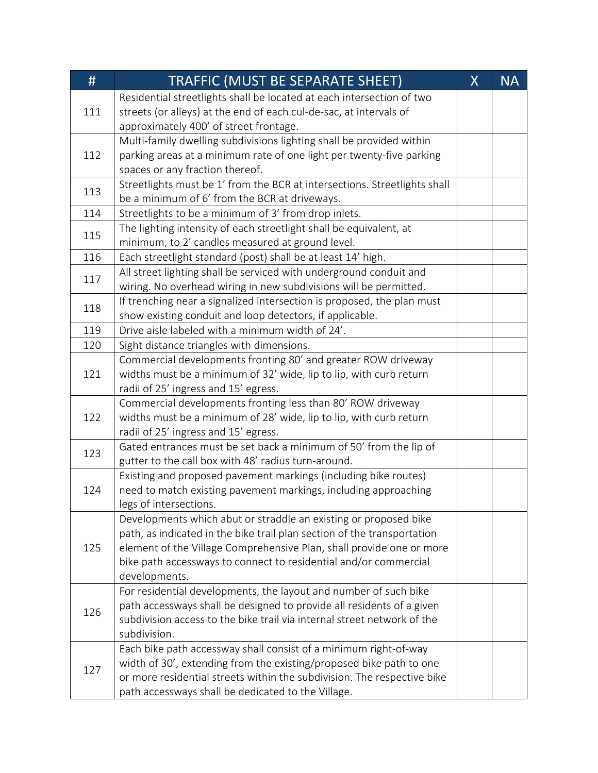| #   | <b>TRAFFIC (MUST BE SEPARATE SHEET)</b>                                   | $\sf X$ | <b>NA</b> |
|-----|---------------------------------------------------------------------------|---------|-----------|
|     | Residential streetlights shall be located at each intersection of two     |         |           |
| 111 | streets (or alleys) at the end of each cul-de-sac, at intervals of        |         |           |
|     | approximately 400' of street frontage.                                    |         |           |
|     | Multi-family dwelling subdivisions lighting shall be provided within      |         |           |
| 112 | parking areas at a minimum rate of one light per twenty-five parking      |         |           |
|     | spaces or any fraction thereof.                                           |         |           |
| 113 | Streetlights must be 1' from the BCR at intersections. Streetlights shall |         |           |
|     | be a minimum of 6' from the BCR at driveways.                             |         |           |
| 114 | Streetlights to be a minimum of 3' from drop inlets.                      |         |           |
| 115 | The lighting intensity of each streetlight shall be equivalent, at        |         |           |
|     | minimum, to 2' candles measured at ground level.                          |         |           |
| 116 | Each streetlight standard (post) shall be at least 14' high.              |         |           |
| 117 | All street lighting shall be serviced with underground conduit and        |         |           |
|     | wiring. No overhead wiring in new subdivisions will be permitted.         |         |           |
| 118 | If trenching near a signalized intersection is proposed, the plan must    |         |           |
|     | show existing conduit and loop detectors, if applicable.                  |         |           |
| 119 | Drive aisle labeled with a minimum width of 24'.                          |         |           |
| 120 | Sight distance triangles with dimensions.                                 |         |           |
|     | Commercial developments fronting 80' and greater ROW driveway             |         |           |
| 121 | widths must be a minimum of 32' wide, lip to lip, with curb return        |         |           |
|     | radii of 25' ingress and 15' egress.                                      |         |           |
|     | Commercial developments fronting less than 80' ROW driveway               |         |           |
| 122 | widths must be a minimum of 28' wide, lip to lip, with curb return        |         |           |
|     | radii of 25' ingress and 15' egress.                                      |         |           |
| 123 | Gated entrances must be set back a minimum of 50' from the lip of         |         |           |
|     | gutter to the call box with 48' radius turn-around.                       |         |           |
|     | Existing and proposed pavement markings (including bike routes)           |         |           |
| 124 | need to match existing pavement markings, including approaching           |         |           |
|     | legs of intersections.                                                    |         |           |
|     | Developments which abut or straddle an existing or proposed bike          |         |           |
|     | path, as indicated in the bike trail plan section of the transportation   |         |           |
| 125 | element of the Village Comprehensive Plan, shall provide one or more      |         |           |
|     | bike path accessways to connect to residential and/or commercial          |         |           |
|     | developments.                                                             |         |           |
| 126 | For residential developments, the layout and number of such bike          |         |           |
|     | path accessways shall be designed to provide all residents of a given     |         |           |
|     | subdivision access to the bike trail via internal street network of the   |         |           |
|     | subdivision.                                                              |         |           |
|     | Each bike path accessway shall consist of a minimum right-of-way          |         |           |
| 127 | width of 30', extending from the existing/proposed bike path to one       |         |           |
|     | or more residential streets within the subdivision. The respective bike   |         |           |
|     | path accessways shall be dedicated to the Village.                        |         |           |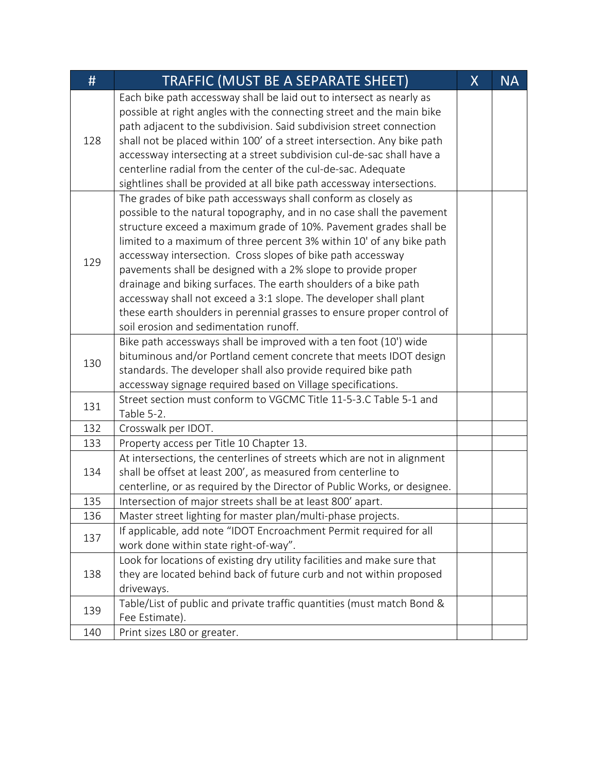| #   | TRAFFIC (MUST BE A SEPARATE SHEET)                                       | $\mathsf{X}$ | <b>NA</b> |
|-----|--------------------------------------------------------------------------|--------------|-----------|
| 128 | Each bike path accessway shall be laid out to intersect as nearly as     |              |           |
|     | possible at right angles with the connecting street and the main bike    |              |           |
|     | path adjacent to the subdivision. Said subdivision street connection     |              |           |
|     | shall not be placed within 100' of a street intersection. Any bike path  |              |           |
|     | accessway intersecting at a street subdivision cul-de-sac shall have a   |              |           |
|     | centerline radial from the center of the cul-de-sac. Adequate            |              |           |
|     | sightlines shall be provided at all bike path accessway intersections.   |              |           |
|     | The grades of bike path accessways shall conform as closely as           |              |           |
|     | possible to the natural topography, and in no case shall the pavement    |              |           |
|     | structure exceed a maximum grade of 10%. Pavement grades shall be        |              |           |
|     | limited to a maximum of three percent 3% within 10' of any bike path     |              |           |
| 129 | accessway intersection. Cross slopes of bike path accessway              |              |           |
|     | pavements shall be designed with a 2% slope to provide proper            |              |           |
|     | drainage and biking surfaces. The earth shoulders of a bike path         |              |           |
|     | accessway shall not exceed a 3:1 slope. The developer shall plant        |              |           |
|     | these earth shoulders in perennial grasses to ensure proper control of   |              |           |
|     | soil erosion and sedimentation runoff.                                   |              |           |
|     | Bike path accessways shall be improved with a ten foot (10') wide        |              |           |
| 130 | bituminous and/or Portland cement concrete that meets IDOT design        |              |           |
|     | standards. The developer shall also provide required bike path           |              |           |
|     | accessway signage required based on Village specifications.              |              |           |
| 131 | Street section must conform to VGCMC Title 11-5-3.C Table 5-1 and        |              |           |
|     | Table 5-2.                                                               |              |           |
| 132 | Crosswalk per IDOT.                                                      |              |           |
| 133 | Property access per Title 10 Chapter 13.                                 |              |           |
|     | At intersections, the centerlines of streets which are not in alignment  |              |           |
| 134 | shall be offset at least 200', as measured from centerline to            |              |           |
|     | centerline, or as required by the Director of Public Works, or designee. |              |           |
| 135 | Intersection of major streets shall be at least 800' apart.              |              |           |
| 136 | Master street lighting for master plan/multi-phase projects.             |              |           |
| 137 | If applicable, add note "IDOT Encroachment Permit required for all       |              |           |
|     | work done within state right-of-way".                                    |              |           |
|     | Look for locations of existing dry utility facilities and make sure that |              |           |
| 138 | they are located behind back of future curb and not within proposed      |              |           |
|     | driveways.                                                               |              |           |
|     | Table/List of public and private traffic quantities (must match Bond &   |              |           |
| 139 | Fee Estimate).                                                           |              |           |
| 140 | Print sizes L80 or greater.                                              |              |           |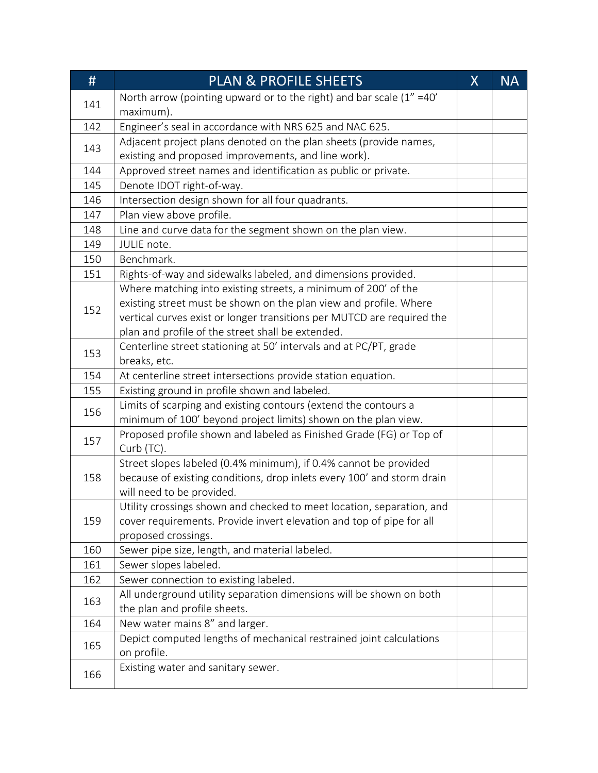| #   | <b>PLAN &amp; PROFILE SHEETS</b>                                         | $\sf X$ | <b>NA</b> |
|-----|--------------------------------------------------------------------------|---------|-----------|
|     | North arrow (pointing upward or to the right) and bar scale $(1'' = 40'$ |         |           |
| 141 | maximum).                                                                |         |           |
| 142 | Engineer's seal in accordance with NRS 625 and NAC 625.                  |         |           |
| 143 | Adjacent project plans denoted on the plan sheets (provide names,        |         |           |
|     | existing and proposed improvements, and line work).                      |         |           |
| 144 | Approved street names and identification as public or private.           |         |           |
| 145 | Denote IDOT right-of-way.                                                |         |           |
| 146 | Intersection design shown for all four quadrants.                        |         |           |
| 147 | Plan view above profile.                                                 |         |           |
| 148 | Line and curve data for the segment shown on the plan view.              |         |           |
| 149 | JULIE note.                                                              |         |           |
| 150 | Benchmark.                                                               |         |           |
| 151 | Rights-of-way and sidewalks labeled, and dimensions provided.            |         |           |
|     | Where matching into existing streets, a minimum of 200' of the           |         |           |
| 152 | existing street must be shown on the plan view and profile. Where        |         |           |
|     | vertical curves exist or longer transitions per MUTCD are required the   |         |           |
|     | plan and profile of the street shall be extended.                        |         |           |
| 153 | Centerline street stationing at 50' intervals and at PC/PT, grade        |         |           |
|     | breaks, etc.                                                             |         |           |
| 154 | At centerline street intersections provide station equation.             |         |           |
| 155 | Existing ground in profile shown and labeled.                            |         |           |
| 156 | Limits of scarping and existing contours (extend the contours a          |         |           |
|     | minimum of 100' beyond project limits) shown on the plan view.           |         |           |
| 157 | Proposed profile shown and labeled as Finished Grade (FG) or Top of      |         |           |
|     | Curb (TC).                                                               |         |           |
|     | Street slopes labeled (0.4% minimum), if 0.4% cannot be provided         |         |           |
| 158 | because of existing conditions, drop inlets every 100' and storm drain   |         |           |
|     | will need to be provided.                                                |         |           |
|     | Utility crossings shown and checked to meet location, separation, and    |         |           |
| 159 | cover requirements. Provide invert elevation and top of pipe for all     |         |           |
|     | proposed crossings.                                                      |         |           |
| 160 | Sewer pipe size, length, and material labeled.                           |         |           |
| 161 | Sewer slopes labeled.                                                    |         |           |
| 162 | Sewer connection to existing labeled.                                    |         |           |
| 163 | All underground utility separation dimensions will be shown on both      |         |           |
|     | the plan and profile sheets.                                             |         |           |
| 164 | New water mains 8" and larger.                                           |         |           |
| 165 | Depict computed lengths of mechanical restrained joint calculations      |         |           |
|     | on profile.                                                              |         |           |
| 166 | Existing water and sanitary sewer.                                       |         |           |
|     |                                                                          |         |           |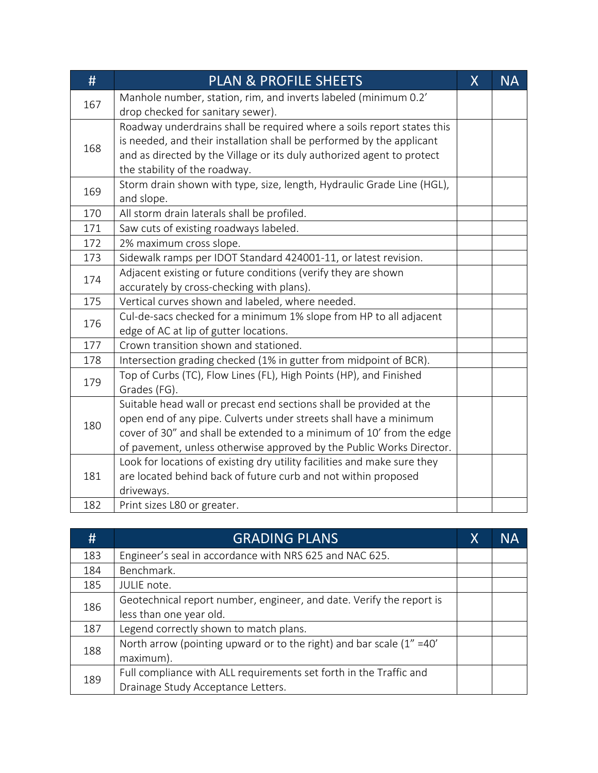| #   | <b>PLAN &amp; PROFILE SHEETS</b>                                                                                                                                                                                                                                                         | $\sf X$ | <b>NA</b> |
|-----|------------------------------------------------------------------------------------------------------------------------------------------------------------------------------------------------------------------------------------------------------------------------------------------|---------|-----------|
| 167 | Manhole number, station, rim, and inverts labeled (minimum 0.2'<br>drop checked for sanitary sewer).                                                                                                                                                                                     |         |           |
| 168 | Roadway underdrains shall be required where a soils report states this<br>is needed, and their installation shall be performed by the applicant<br>and as directed by the Village or its duly authorized agent to protect<br>the stability of the roadway.                               |         |           |
| 169 | Storm drain shown with type, size, length, Hydraulic Grade Line (HGL),<br>and slope.                                                                                                                                                                                                     |         |           |
| 170 | All storm drain laterals shall be profiled.                                                                                                                                                                                                                                              |         |           |
| 171 | Saw cuts of existing roadways labeled.                                                                                                                                                                                                                                                   |         |           |
| 172 | 2% maximum cross slope.                                                                                                                                                                                                                                                                  |         |           |
| 173 | Sidewalk ramps per IDOT Standard 424001-11, or latest revision.                                                                                                                                                                                                                          |         |           |
| 174 | Adjacent existing or future conditions (verify they are shown<br>accurately by cross-checking with plans).                                                                                                                                                                               |         |           |
| 175 | Vertical curves shown and labeled, where needed.                                                                                                                                                                                                                                         |         |           |
| 176 | Cul-de-sacs checked for a minimum 1% slope from HP to all adjacent<br>edge of AC at lip of gutter locations.                                                                                                                                                                             |         |           |
| 177 | Crown transition shown and stationed.                                                                                                                                                                                                                                                    |         |           |
| 178 | Intersection grading checked (1% in gutter from midpoint of BCR).                                                                                                                                                                                                                        |         |           |
| 179 | Top of Curbs (TC), Flow Lines (FL), High Points (HP), and Finished<br>Grades (FG).                                                                                                                                                                                                       |         |           |
| 180 | Suitable head wall or precast end sections shall be provided at the<br>open end of any pipe. Culverts under streets shall have a minimum<br>cover of 30" and shall be extended to a minimum of 10' from the edge<br>of pavement, unless otherwise approved by the Public Works Director. |         |           |
| 181 | Look for locations of existing dry utility facilities and make sure they<br>are located behind back of future curb and not within proposed<br>driveways.                                                                                                                                 |         |           |
| 182 | Print sizes L80 or greater.                                                                                                                                                                                                                                                              |         |           |

| #   | <b>GRADING PLANS</b>                                                      | X | <b>NA</b> |
|-----|---------------------------------------------------------------------------|---|-----------|
| 183 | Engineer's seal in accordance with NRS 625 and NAC 625.                   |   |           |
| 184 | Benchmark.                                                                |   |           |
| 185 | JULIE note.                                                               |   |           |
| 186 | Geotechnical report number, engineer, and date. Verify the report is      |   |           |
|     | less than one year old.                                                   |   |           |
| 187 | Legend correctly shown to match plans.                                    |   |           |
| 188 | North arrow (pointing upward or to the right) and bar scale $(1'' = 40')$ |   |           |
|     | maximum).                                                                 |   |           |
| 189 | Full compliance with ALL requirements set forth in the Traffic and        |   |           |
|     | Drainage Study Acceptance Letters.                                        |   |           |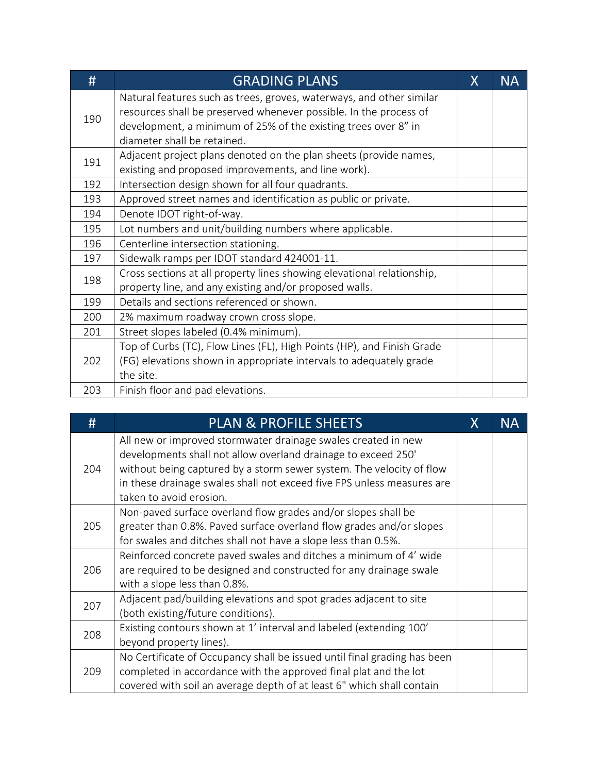| #   | <b>GRADING PLANS</b>                                                                                                                                                                                                                       | X | <b>NA</b> |
|-----|--------------------------------------------------------------------------------------------------------------------------------------------------------------------------------------------------------------------------------------------|---|-----------|
| 190 | Natural features such as trees, groves, waterways, and other similar<br>resources shall be preserved whenever possible. In the process of<br>development, a minimum of 25% of the existing trees over 8" in<br>diameter shall be retained. |   |           |
| 191 | Adjacent project plans denoted on the plan sheets (provide names,<br>existing and proposed improvements, and line work).                                                                                                                   |   |           |
| 192 | Intersection design shown for all four quadrants.                                                                                                                                                                                          |   |           |
| 193 | Approved street names and identification as public or private.                                                                                                                                                                             |   |           |
| 194 | Denote IDOT right-of-way.                                                                                                                                                                                                                  |   |           |
| 195 | Lot numbers and unit/building numbers where applicable.                                                                                                                                                                                    |   |           |
| 196 | Centerline intersection stationing.                                                                                                                                                                                                        |   |           |
| 197 | Sidewalk ramps per IDOT standard 424001-11.                                                                                                                                                                                                |   |           |
| 198 | Cross sections at all property lines showing elevational relationship,<br>property line, and any existing and/or proposed walls.                                                                                                           |   |           |
| 199 | Details and sections referenced or shown.                                                                                                                                                                                                  |   |           |
| 200 | 2% maximum roadway crown cross slope.                                                                                                                                                                                                      |   |           |
| 201 | Street slopes labeled (0.4% minimum).                                                                                                                                                                                                      |   |           |
| 202 | Top of Curbs (TC), Flow Lines (FL), High Points (HP), and Finish Grade<br>(FG) elevations shown in appropriate intervals to adequately grade<br>the site.                                                                                  |   |           |
| 203 | Finish floor and pad elevations.                                                                                                                                                                                                           |   |           |

| #   | <b>PLAN &amp; PROFILE SHEETS</b>                                         | X | NA |
|-----|--------------------------------------------------------------------------|---|----|
|     | All new or improved stormwater drainage swales created in new            |   |    |
|     | developments shall not allow overland drainage to exceed 250'            |   |    |
| 204 | without being captured by a storm sewer system. The velocity of flow     |   |    |
|     | in these drainage swales shall not exceed five FPS unless measures are   |   |    |
|     | taken to avoid erosion.                                                  |   |    |
|     | Non-paved surface overland flow grades and/or slopes shall be            |   |    |
| 205 | greater than 0.8%. Paved surface overland flow grades and/or slopes      |   |    |
|     | for swales and ditches shall not have a slope less than 0.5%.            |   |    |
|     | Reinforced concrete paved swales and ditches a minimum of 4' wide        |   |    |
| 206 | are required to be designed and constructed for any drainage swale       |   |    |
|     | with a slope less than 0.8%.                                             |   |    |
|     | Adjacent pad/building elevations and spot grades adjacent to site        |   |    |
| 207 | (both existing/future conditions).                                       |   |    |
| 208 | Existing contours shown at 1' interval and labeled (extending 100'       |   |    |
|     | beyond property lines).                                                  |   |    |
|     | No Certificate of Occupancy shall be issued until final grading has been |   |    |
| 209 | completed in accordance with the approved final plat and the lot         |   |    |
|     | covered with soil an average depth of at least 6" which shall contain    |   |    |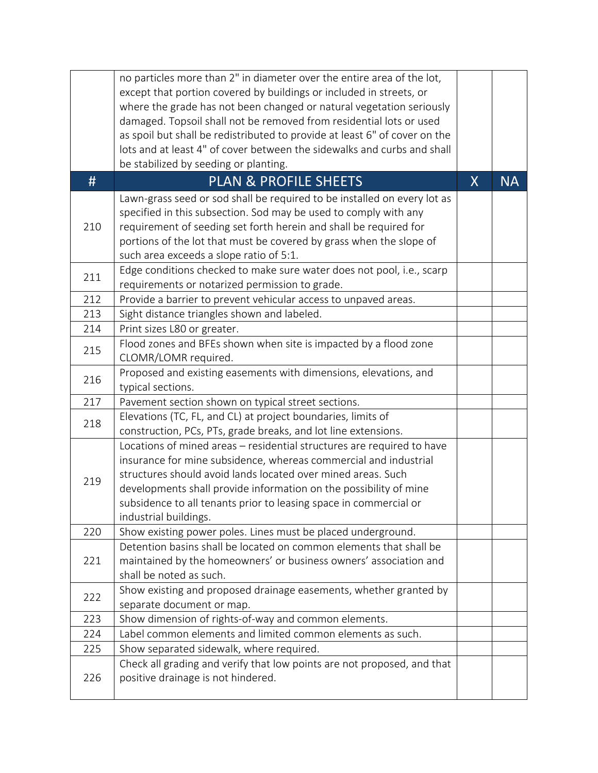|     | no particles more than 2" in diameter over the entire area of the lot,     |         |           |
|-----|----------------------------------------------------------------------------|---------|-----------|
|     | except that portion covered by buildings or included in streets, or        |         |           |
|     | where the grade has not been changed or natural vegetation seriously       |         |           |
|     | damaged. Topsoil shall not be removed from residential lots or used        |         |           |
|     | as spoil but shall be redistributed to provide at least 6" of cover on the |         |           |
|     | lots and at least 4" of cover between the sidewalks and curbs and shall    |         |           |
|     | be stabilized by seeding or planting.                                      |         |           |
| #   | <b>PLAN &amp; PROFILE SHEETS</b>                                           | $\sf X$ | <b>NA</b> |
|     | Lawn-grass seed or sod shall be required to be installed on every lot as   |         |           |
|     | specified in this subsection. Sod may be used to comply with any           |         |           |
| 210 | requirement of seeding set forth herein and shall be required for          |         |           |
|     | portions of the lot that must be covered by grass when the slope of        |         |           |
|     | such area exceeds a slope ratio of 5:1.                                    |         |           |
| 211 | Edge conditions checked to make sure water does not pool, i.e., scarp      |         |           |
|     | requirements or notarized permission to grade.                             |         |           |
| 212 | Provide a barrier to prevent vehicular access to unpaved areas.            |         |           |
| 213 | Sight distance triangles shown and labeled.                                |         |           |
| 214 | Print sizes L80 or greater.                                                |         |           |
| 215 | Flood zones and BFEs shown when site is impacted by a flood zone           |         |           |
|     | CLOMR/LOMR required.                                                       |         |           |
| 216 | Proposed and existing easements with dimensions, elevations, and           |         |           |
|     | typical sections.                                                          |         |           |
| 217 | Pavement section shown on typical street sections.                         |         |           |
| 218 | Elevations (TC, FL, and CL) at project boundaries, limits of               |         |           |
|     | construction, PCs, PTs, grade breaks, and lot line extensions.             |         |           |
|     | Locations of mined areas - residential structures are required to have     |         |           |
|     | insurance for mine subsidence, whereas commercial and industrial           |         |           |
| 219 | structures should avoid lands located over mined areas. Such               |         |           |
|     | developments shall provide information on the possibility of mine          |         |           |
|     | subsidence to all tenants prior to leasing space in commercial or          |         |           |
|     | industrial buildings.                                                      |         |           |
| 220 | Show existing power poles. Lines must be placed underground.               |         |           |
|     | Detention basins shall be located on common elements that shall be         |         |           |
| 221 | maintained by the homeowners' or business owners' association and          |         |           |
|     | shall be noted as such.                                                    |         |           |
| 222 | Show existing and proposed drainage easements, whether granted by          |         |           |
|     | separate document or map.                                                  |         |           |
| 223 | Show dimension of rights-of-way and common elements.                       |         |           |
| 224 | Label common elements and limited common elements as such.                 |         |           |
| 225 | Show separated sidewalk, where required.                                   |         |           |
|     | Check all grading and verify that low points are not proposed, and that    |         |           |
| 226 | positive drainage is not hindered.                                         |         |           |
|     |                                                                            |         |           |